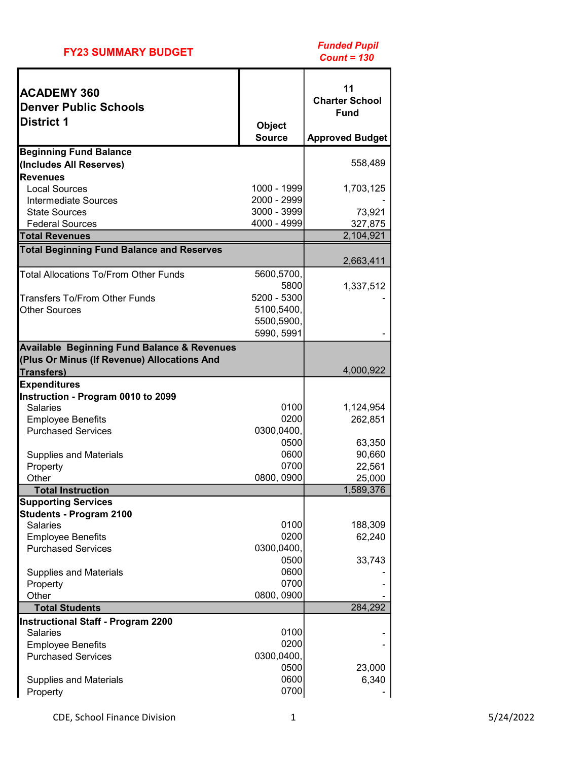|  | <b>FY23 SUMMARY BUDGET</b> |  |  |
|--|----------------------------|--|--|
|--|----------------------------|--|--|

| <b>ACADEMY 360</b><br><b>Denver Public Schools</b><br><b>District 1</b> | <b>Object</b>              | 11<br><b>Charter School</b><br><b>Fund</b> |
|-------------------------------------------------------------------------|----------------------------|--------------------------------------------|
|                                                                         | <b>Source</b>              | <b>Approved Budget</b>                     |
| <b>Beginning Fund Balance</b>                                           |                            |                                            |
| (Includes All Reserves)                                                 |                            | 558,489                                    |
| <b>Revenues</b>                                                         |                            |                                            |
| <b>Local Sources</b>                                                    | 1000 - 1999                | 1,703,125                                  |
| Intermediate Sources<br><b>State Sources</b>                            | 2000 - 2999<br>3000 - 3999 | 73,921                                     |
| <b>Federal Sources</b>                                                  | 4000 - 4999                | 327,875                                    |
| <b>Total Revenues</b>                                                   |                            | 2,104,921                                  |
| <b>Total Beginning Fund Balance and Reserves</b>                        |                            |                                            |
|                                                                         |                            | 2,663,411                                  |
| <b>Total Allocations To/From Other Funds</b>                            | 5600,5700,                 |                                            |
|                                                                         | 5800                       | 1,337,512                                  |
| Transfers To/From Other Funds                                           | 5200 - 5300                |                                            |
| <b>Other Sources</b>                                                    | 5100,5400,                 |                                            |
|                                                                         | 5500,5900,                 |                                            |
|                                                                         | 5990, 5991                 |                                            |
| <b>Available Beginning Fund Balance &amp; Revenues</b>                  |                            |                                            |
| (Plus Or Minus (If Revenue) Allocations And                             |                            |                                            |
| <b>Transfers)</b>                                                       |                            | 4,000,922                                  |
| <b>Expenditures</b><br>Instruction - Program 0010 to 2099               |                            |                                            |
| <b>Salaries</b>                                                         | 0100                       | 1,124,954                                  |
| <b>Employee Benefits</b>                                                | 0200                       | 262,851                                    |
| <b>Purchased Services</b>                                               | 0300,0400,                 |                                            |
|                                                                         | 0500                       | 63,350                                     |
| <b>Supplies and Materials</b>                                           | 0600                       | 90,660                                     |
| Property                                                                | 0700                       | 22,561                                     |
| Other                                                                   | 0800, 0900                 | 25,000                                     |
| <b>Total Instruction</b>                                                |                            | 1,589,376                                  |
| <b>Supporting Services</b>                                              |                            |                                            |
| <b>Students - Program 2100</b>                                          |                            |                                            |
| <b>Salaries</b>                                                         | 0100                       | 188,309                                    |
| <b>Employee Benefits</b>                                                | 0200                       | 62,240                                     |
| <b>Purchased Services</b>                                               | 0300,0400,<br>0500         |                                            |
| <b>Supplies and Materials</b>                                           | 0600                       | 33,743                                     |
| Property                                                                | 0700                       |                                            |
| Other                                                                   | 0800, 0900                 |                                            |
| <b>Total Students</b>                                                   |                            | 284,292                                    |
| <b>Instructional Staff - Program 2200</b>                               |                            |                                            |
| <b>Salaries</b>                                                         | 0100                       |                                            |
| <b>Employee Benefits</b>                                                | 0200                       |                                            |
| <b>Purchased Services</b>                                               | 0300,0400,                 |                                            |
|                                                                         | 0500                       | 23,000                                     |
| <b>Supplies and Materials</b>                                           | 0600                       | 6,340                                      |
| Property                                                                | 0700                       |                                            |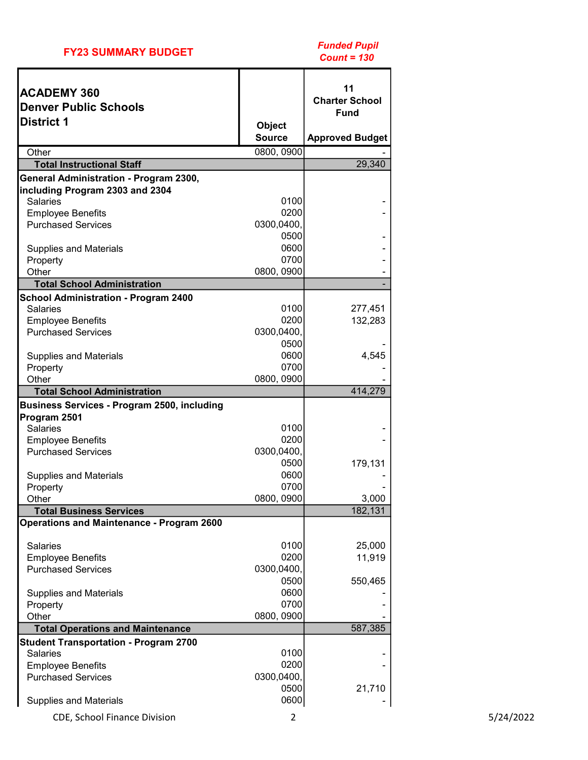|  | <b>FY23 SUMMARY BUDGET</b> |  |  |
|--|----------------------------|--|--|
|--|----------------------------|--|--|

| <b>Charter School</b><br><b>Denver Public Schools</b><br><b>Fund</b><br><b>District 1</b><br><b>Object</b><br><b>Source</b><br><b>Approved Budget</b><br>0800, 0900<br>Other<br>29,340<br><b>Total Instructional Staff</b><br>General Administration - Program 2300,<br>including Program 2303 and 2304<br><b>Salaries</b><br>0100<br>0200<br><b>Employee Benefits</b><br><b>Purchased Services</b><br>0300,0400,<br>0500<br>0600<br><b>Supplies and Materials</b><br>0700<br>Property<br>Other<br>0800, 0900<br><b>Total School Administration</b><br><b>School Administration - Program 2400</b><br>0100<br><b>Salaries</b><br>277,451<br>0200<br><b>Employee Benefits</b><br>132,283<br><b>Purchased Services</b><br>0300,0400,<br>0500<br>0600<br>4,545<br><b>Supplies and Materials</b><br>0700<br>Property<br>0800, 0900<br>Other<br>414,279<br><b>Total School Administration</b><br><b>Business Services - Program 2500, including</b><br>Program 2501<br>0100<br><b>Salaries</b><br>0200<br><b>Employee Benefits</b><br><b>Purchased Services</b><br>0300,0400,<br>0500<br>179,131<br>0600<br><b>Supplies and Materials</b><br>0700<br>Property<br>0800, 0900<br>Other<br>3,000<br>182,131<br><b>Total Business Services</b><br><b>Operations and Maintenance - Program 2600</b><br>0100<br><b>Salaries</b><br>25,000<br>0200<br>11,919<br><b>Employee Benefits</b><br><b>Purchased Services</b><br>0300,0400,<br>0500<br>550,465<br>0600<br><b>Supplies and Materials</b><br>0700<br>Property<br>0800, 0900<br>Other<br>587,385<br><b>Total Operations and Maintenance</b><br><b>Student Transportation - Program 2700</b><br>0100<br><b>Salaries</b><br>0200<br><b>Employee Benefits</b><br>0300,0400,<br><b>Purchased Services</b><br>0500<br>21,710<br>0600<br><b>Supplies and Materials</b> | <b>ACADEMY 360</b> | 11 |
|-----------------------------------------------------------------------------------------------------------------------------------------------------------------------------------------------------------------------------------------------------------------------------------------------------------------------------------------------------------------------------------------------------------------------------------------------------------------------------------------------------------------------------------------------------------------------------------------------------------------------------------------------------------------------------------------------------------------------------------------------------------------------------------------------------------------------------------------------------------------------------------------------------------------------------------------------------------------------------------------------------------------------------------------------------------------------------------------------------------------------------------------------------------------------------------------------------------------------------------------------------------------------------------------------------------------------------------------------------------------------------------------------------------------------------------------------------------------------------------------------------------------------------------------------------------------------------------------------------------------------------------------------------------------------------------------------------------------------------------------------------------------------------------------------------------|--------------------|----|
|                                                                                                                                                                                                                                                                                                                                                                                                                                                                                                                                                                                                                                                                                                                                                                                                                                                                                                                                                                                                                                                                                                                                                                                                                                                                                                                                                                                                                                                                                                                                                                                                                                                                                                                                                                                                           |                    |    |
|                                                                                                                                                                                                                                                                                                                                                                                                                                                                                                                                                                                                                                                                                                                                                                                                                                                                                                                                                                                                                                                                                                                                                                                                                                                                                                                                                                                                                                                                                                                                                                                                                                                                                                                                                                                                           |                    |    |
|                                                                                                                                                                                                                                                                                                                                                                                                                                                                                                                                                                                                                                                                                                                                                                                                                                                                                                                                                                                                                                                                                                                                                                                                                                                                                                                                                                                                                                                                                                                                                                                                                                                                                                                                                                                                           |                    |    |
|                                                                                                                                                                                                                                                                                                                                                                                                                                                                                                                                                                                                                                                                                                                                                                                                                                                                                                                                                                                                                                                                                                                                                                                                                                                                                                                                                                                                                                                                                                                                                                                                                                                                                                                                                                                                           |                    |    |
|                                                                                                                                                                                                                                                                                                                                                                                                                                                                                                                                                                                                                                                                                                                                                                                                                                                                                                                                                                                                                                                                                                                                                                                                                                                                                                                                                                                                                                                                                                                                                                                                                                                                                                                                                                                                           |                    |    |
|                                                                                                                                                                                                                                                                                                                                                                                                                                                                                                                                                                                                                                                                                                                                                                                                                                                                                                                                                                                                                                                                                                                                                                                                                                                                                                                                                                                                                                                                                                                                                                                                                                                                                                                                                                                                           |                    |    |
|                                                                                                                                                                                                                                                                                                                                                                                                                                                                                                                                                                                                                                                                                                                                                                                                                                                                                                                                                                                                                                                                                                                                                                                                                                                                                                                                                                                                                                                                                                                                                                                                                                                                                                                                                                                                           |                    |    |
|                                                                                                                                                                                                                                                                                                                                                                                                                                                                                                                                                                                                                                                                                                                                                                                                                                                                                                                                                                                                                                                                                                                                                                                                                                                                                                                                                                                                                                                                                                                                                                                                                                                                                                                                                                                                           |                    |    |
|                                                                                                                                                                                                                                                                                                                                                                                                                                                                                                                                                                                                                                                                                                                                                                                                                                                                                                                                                                                                                                                                                                                                                                                                                                                                                                                                                                                                                                                                                                                                                                                                                                                                                                                                                                                                           |                    |    |
|                                                                                                                                                                                                                                                                                                                                                                                                                                                                                                                                                                                                                                                                                                                                                                                                                                                                                                                                                                                                                                                                                                                                                                                                                                                                                                                                                                                                                                                                                                                                                                                                                                                                                                                                                                                                           |                    |    |
|                                                                                                                                                                                                                                                                                                                                                                                                                                                                                                                                                                                                                                                                                                                                                                                                                                                                                                                                                                                                                                                                                                                                                                                                                                                                                                                                                                                                                                                                                                                                                                                                                                                                                                                                                                                                           |                    |    |
|                                                                                                                                                                                                                                                                                                                                                                                                                                                                                                                                                                                                                                                                                                                                                                                                                                                                                                                                                                                                                                                                                                                                                                                                                                                                                                                                                                                                                                                                                                                                                                                                                                                                                                                                                                                                           |                    |    |
|                                                                                                                                                                                                                                                                                                                                                                                                                                                                                                                                                                                                                                                                                                                                                                                                                                                                                                                                                                                                                                                                                                                                                                                                                                                                                                                                                                                                                                                                                                                                                                                                                                                                                                                                                                                                           |                    |    |
|                                                                                                                                                                                                                                                                                                                                                                                                                                                                                                                                                                                                                                                                                                                                                                                                                                                                                                                                                                                                                                                                                                                                                                                                                                                                                                                                                                                                                                                                                                                                                                                                                                                                                                                                                                                                           |                    |    |
|                                                                                                                                                                                                                                                                                                                                                                                                                                                                                                                                                                                                                                                                                                                                                                                                                                                                                                                                                                                                                                                                                                                                                                                                                                                                                                                                                                                                                                                                                                                                                                                                                                                                                                                                                                                                           |                    |    |
|                                                                                                                                                                                                                                                                                                                                                                                                                                                                                                                                                                                                                                                                                                                                                                                                                                                                                                                                                                                                                                                                                                                                                                                                                                                                                                                                                                                                                                                                                                                                                                                                                                                                                                                                                                                                           |                    |    |
|                                                                                                                                                                                                                                                                                                                                                                                                                                                                                                                                                                                                                                                                                                                                                                                                                                                                                                                                                                                                                                                                                                                                                                                                                                                                                                                                                                                                                                                                                                                                                                                                                                                                                                                                                                                                           |                    |    |
|                                                                                                                                                                                                                                                                                                                                                                                                                                                                                                                                                                                                                                                                                                                                                                                                                                                                                                                                                                                                                                                                                                                                                                                                                                                                                                                                                                                                                                                                                                                                                                                                                                                                                                                                                                                                           |                    |    |
|                                                                                                                                                                                                                                                                                                                                                                                                                                                                                                                                                                                                                                                                                                                                                                                                                                                                                                                                                                                                                                                                                                                                                                                                                                                                                                                                                                                                                                                                                                                                                                                                                                                                                                                                                                                                           |                    |    |
|                                                                                                                                                                                                                                                                                                                                                                                                                                                                                                                                                                                                                                                                                                                                                                                                                                                                                                                                                                                                                                                                                                                                                                                                                                                                                                                                                                                                                                                                                                                                                                                                                                                                                                                                                                                                           |                    |    |
|                                                                                                                                                                                                                                                                                                                                                                                                                                                                                                                                                                                                                                                                                                                                                                                                                                                                                                                                                                                                                                                                                                                                                                                                                                                                                                                                                                                                                                                                                                                                                                                                                                                                                                                                                                                                           |                    |    |
|                                                                                                                                                                                                                                                                                                                                                                                                                                                                                                                                                                                                                                                                                                                                                                                                                                                                                                                                                                                                                                                                                                                                                                                                                                                                                                                                                                                                                                                                                                                                                                                                                                                                                                                                                                                                           |                    |    |
|                                                                                                                                                                                                                                                                                                                                                                                                                                                                                                                                                                                                                                                                                                                                                                                                                                                                                                                                                                                                                                                                                                                                                                                                                                                                                                                                                                                                                                                                                                                                                                                                                                                                                                                                                                                                           |                    |    |
|                                                                                                                                                                                                                                                                                                                                                                                                                                                                                                                                                                                                                                                                                                                                                                                                                                                                                                                                                                                                                                                                                                                                                                                                                                                                                                                                                                                                                                                                                                                                                                                                                                                                                                                                                                                                           |                    |    |
|                                                                                                                                                                                                                                                                                                                                                                                                                                                                                                                                                                                                                                                                                                                                                                                                                                                                                                                                                                                                                                                                                                                                                                                                                                                                                                                                                                                                                                                                                                                                                                                                                                                                                                                                                                                                           |                    |    |
|                                                                                                                                                                                                                                                                                                                                                                                                                                                                                                                                                                                                                                                                                                                                                                                                                                                                                                                                                                                                                                                                                                                                                                                                                                                                                                                                                                                                                                                                                                                                                                                                                                                                                                                                                                                                           |                    |    |
|                                                                                                                                                                                                                                                                                                                                                                                                                                                                                                                                                                                                                                                                                                                                                                                                                                                                                                                                                                                                                                                                                                                                                                                                                                                                                                                                                                                                                                                                                                                                                                                                                                                                                                                                                                                                           |                    |    |
|                                                                                                                                                                                                                                                                                                                                                                                                                                                                                                                                                                                                                                                                                                                                                                                                                                                                                                                                                                                                                                                                                                                                                                                                                                                                                                                                                                                                                                                                                                                                                                                                                                                                                                                                                                                                           |                    |    |
|                                                                                                                                                                                                                                                                                                                                                                                                                                                                                                                                                                                                                                                                                                                                                                                                                                                                                                                                                                                                                                                                                                                                                                                                                                                                                                                                                                                                                                                                                                                                                                                                                                                                                                                                                                                                           |                    |    |
|                                                                                                                                                                                                                                                                                                                                                                                                                                                                                                                                                                                                                                                                                                                                                                                                                                                                                                                                                                                                                                                                                                                                                                                                                                                                                                                                                                                                                                                                                                                                                                                                                                                                                                                                                                                                           |                    |    |
|                                                                                                                                                                                                                                                                                                                                                                                                                                                                                                                                                                                                                                                                                                                                                                                                                                                                                                                                                                                                                                                                                                                                                                                                                                                                                                                                                                                                                                                                                                                                                                                                                                                                                                                                                                                                           |                    |    |
|                                                                                                                                                                                                                                                                                                                                                                                                                                                                                                                                                                                                                                                                                                                                                                                                                                                                                                                                                                                                                                                                                                                                                                                                                                                                                                                                                                                                                                                                                                                                                                                                                                                                                                                                                                                                           |                    |    |
|                                                                                                                                                                                                                                                                                                                                                                                                                                                                                                                                                                                                                                                                                                                                                                                                                                                                                                                                                                                                                                                                                                                                                                                                                                                                                                                                                                                                                                                                                                                                                                                                                                                                                                                                                                                                           |                    |    |
|                                                                                                                                                                                                                                                                                                                                                                                                                                                                                                                                                                                                                                                                                                                                                                                                                                                                                                                                                                                                                                                                                                                                                                                                                                                                                                                                                                                                                                                                                                                                                                                                                                                                                                                                                                                                           |                    |    |
|                                                                                                                                                                                                                                                                                                                                                                                                                                                                                                                                                                                                                                                                                                                                                                                                                                                                                                                                                                                                                                                                                                                                                                                                                                                                                                                                                                                                                                                                                                                                                                                                                                                                                                                                                                                                           |                    |    |
|                                                                                                                                                                                                                                                                                                                                                                                                                                                                                                                                                                                                                                                                                                                                                                                                                                                                                                                                                                                                                                                                                                                                                                                                                                                                                                                                                                                                                                                                                                                                                                                                                                                                                                                                                                                                           |                    |    |
|                                                                                                                                                                                                                                                                                                                                                                                                                                                                                                                                                                                                                                                                                                                                                                                                                                                                                                                                                                                                                                                                                                                                                                                                                                                                                                                                                                                                                                                                                                                                                                                                                                                                                                                                                                                                           |                    |    |
|                                                                                                                                                                                                                                                                                                                                                                                                                                                                                                                                                                                                                                                                                                                                                                                                                                                                                                                                                                                                                                                                                                                                                                                                                                                                                                                                                                                                                                                                                                                                                                                                                                                                                                                                                                                                           |                    |    |
|                                                                                                                                                                                                                                                                                                                                                                                                                                                                                                                                                                                                                                                                                                                                                                                                                                                                                                                                                                                                                                                                                                                                                                                                                                                                                                                                                                                                                                                                                                                                                                                                                                                                                                                                                                                                           |                    |    |
|                                                                                                                                                                                                                                                                                                                                                                                                                                                                                                                                                                                                                                                                                                                                                                                                                                                                                                                                                                                                                                                                                                                                                                                                                                                                                                                                                                                                                                                                                                                                                                                                                                                                                                                                                                                                           |                    |    |
|                                                                                                                                                                                                                                                                                                                                                                                                                                                                                                                                                                                                                                                                                                                                                                                                                                                                                                                                                                                                                                                                                                                                                                                                                                                                                                                                                                                                                                                                                                                                                                                                                                                                                                                                                                                                           |                    |    |
|                                                                                                                                                                                                                                                                                                                                                                                                                                                                                                                                                                                                                                                                                                                                                                                                                                                                                                                                                                                                                                                                                                                                                                                                                                                                                                                                                                                                                                                                                                                                                                                                                                                                                                                                                                                                           |                    |    |
|                                                                                                                                                                                                                                                                                                                                                                                                                                                                                                                                                                                                                                                                                                                                                                                                                                                                                                                                                                                                                                                                                                                                                                                                                                                                                                                                                                                                                                                                                                                                                                                                                                                                                                                                                                                                           |                    |    |
|                                                                                                                                                                                                                                                                                                                                                                                                                                                                                                                                                                                                                                                                                                                                                                                                                                                                                                                                                                                                                                                                                                                                                                                                                                                                                                                                                                                                                                                                                                                                                                                                                                                                                                                                                                                                           |                    |    |
|                                                                                                                                                                                                                                                                                                                                                                                                                                                                                                                                                                                                                                                                                                                                                                                                                                                                                                                                                                                                                                                                                                                                                                                                                                                                                                                                                                                                                                                                                                                                                                                                                                                                                                                                                                                                           |                    |    |
|                                                                                                                                                                                                                                                                                                                                                                                                                                                                                                                                                                                                                                                                                                                                                                                                                                                                                                                                                                                                                                                                                                                                                                                                                                                                                                                                                                                                                                                                                                                                                                                                                                                                                                                                                                                                           |                    |    |
|                                                                                                                                                                                                                                                                                                                                                                                                                                                                                                                                                                                                                                                                                                                                                                                                                                                                                                                                                                                                                                                                                                                                                                                                                                                                                                                                                                                                                                                                                                                                                                                                                                                                                                                                                                                                           |                    |    |

CDE, School Finance Division 2 5/24/2022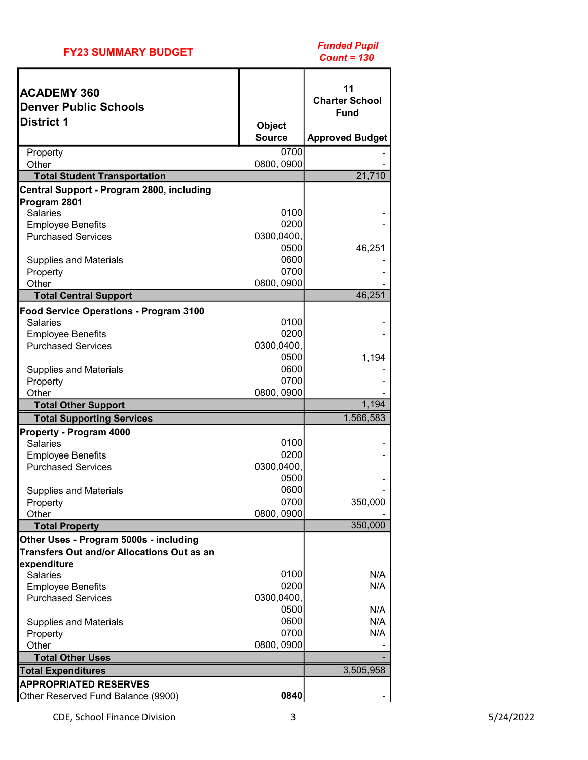|  | <b>FY23 SUMMARY BUDGET</b> |  |  |
|--|----------------------------|--|--|
|--|----------------------------|--|--|

| <b>ACADEMY 360</b>                                    |               | 11<br><b>Charter School</b> |
|-------------------------------------------------------|---------------|-----------------------------|
| <b>Denver Public Schools</b>                          |               | <b>Fund</b>                 |
| <b>District 1</b>                                     | <b>Object</b> |                             |
|                                                       | <b>Source</b> | <b>Approved Budget</b>      |
| Property                                              | 0700          |                             |
| Other                                                 | 0800, 0900    |                             |
| <b>Total Student Transportation</b>                   |               | 21,710                      |
| Central Support - Program 2800, including             |               |                             |
| Program 2801                                          |               |                             |
| <b>Salaries</b>                                       | 0100<br>0200  |                             |
| <b>Employee Benefits</b><br><b>Purchased Services</b> | 0300,0400,    |                             |
|                                                       | 0500          | 46,251                      |
| <b>Supplies and Materials</b>                         | 0600          |                             |
| Property                                              | 0700          |                             |
| Other                                                 | 0800, 0900    |                             |
| <b>Total Central Support</b>                          |               | 46,251                      |
| <b>Food Service Operations - Program 3100</b>         |               |                             |
| <b>Salaries</b>                                       | 0100          |                             |
| <b>Employee Benefits</b>                              | 0200          |                             |
| <b>Purchased Services</b>                             | 0300,0400,    |                             |
|                                                       | 0500          | 1,194                       |
| <b>Supplies and Materials</b>                         | 0600          |                             |
| Property                                              | 0700          |                             |
| Other                                                 | 0800, 0900    |                             |
| <b>Total Other Support</b>                            |               | 1,194                       |
| <b>Total Supporting Services</b>                      |               | 1,566,583                   |
| Property - Program 4000                               |               |                             |
| <b>Salaries</b>                                       | 0100          |                             |
| <b>Employee Benefits</b>                              | 0200          |                             |
| <b>Purchased Services</b>                             | 0300,0400,    |                             |
|                                                       | 0500<br>0600  |                             |
| <b>Supplies and Materials</b><br>Property             | 0700          | 350,000                     |
| Other                                                 | 0800, 0900    |                             |
| <b>Total Property</b>                                 |               | 350,000                     |
| Other Uses - Program 5000s - including                |               |                             |
| <b>Transfers Out and/or Allocations Out as an</b>     |               |                             |
| expenditure                                           |               |                             |
| <b>Salaries</b>                                       | 0100          | N/A                         |
| <b>Employee Benefits</b>                              | 0200          | N/A                         |
| <b>Purchased Services</b>                             | 0300,0400,    |                             |
|                                                       | 0500          | N/A                         |
| <b>Supplies and Materials</b>                         | 0600          | N/A                         |
| Property                                              | 0700          | N/A                         |
| Other                                                 | 0800, 0900    |                             |
| <b>Total Other Uses</b>                               |               |                             |
| <b>Total Expenditures</b>                             | 3,505,958     |                             |
| <b>APPROPRIATED RESERVES</b>                          |               |                             |
| Other Reserved Fund Balance (9900)                    | 0840          |                             |